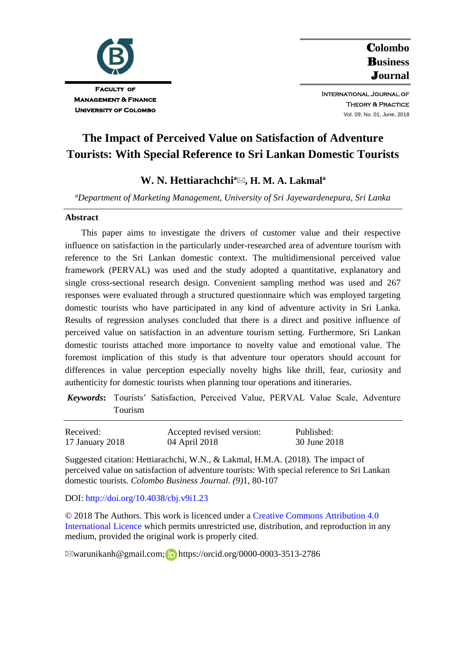

C**olombo**  B**usiness**  J**ournal** International Journal of

> Theory & Practice Vol. 09, No. 01, June, 2018

**The Impact of Perceived Value on Satisfaction of Adventure Tourists: With Special Reference to Sri Lankan Domestic Tourists**

# **W. N. Hettiarachchi<sup>a</sup> , H. M. A. Lakmal<sup>a</sup>**

*<sup>a</sup>Department of Marketing Management, University of Sri Jayewardenepura, Sri Lanka*

#### **Abstract**

This paper aims to investigate the drivers of customer value and their respective influence on satisfaction in the particularly under-researched area of adventure tourism with reference to the Sri Lankan domestic context. The multidimensional perceived value framework (PERVAL) was used and the study adopted a quantitative, explanatory and single cross-sectional research design. Convenient sampling method was used and 267 responses were evaluated through a structured questionnaire which was employed targeting domestic tourists who have participated in any kind of adventure activity in Sri Lanka. Results of regression analyses concluded that there is a direct and positive influence of perceived value on satisfaction in an adventure tourism setting. Furthermore, Sri Lankan domestic tourists attached more importance to novelty value and emotional value. The foremost implication of this study is that adventure tour operators should account for differences in value perception especially novelty highs like thrill, fear, curiosity and authenticity for domestic tourists when planning tour operations and itineraries.

*Keywords***:** Tourists' Satisfaction, Perceived Value, PERVAL Value Scale, Adventure Tourism

| Received:       | Accepted revised version: | Published:   |
|-----------------|---------------------------|--------------|
| 17 January 2018 | 04 April 2018             | 30 June 2018 |

Suggested citation: Hettiarachchi, W.N., & Lakmal, H.M.A. (2018). The impact of perceived value on satisfaction of adventure tourists: With special reference to Sri Lankan domestic tourists. *Colombo Business Journal. (9)*1, 80-107

#### DOI: <http://doi.org/10.4038/cbj.v9i1.23>

© 2018 The Authors. This work is licenced under [a Creative Commons Attribution 4.0](https://creativecommons.org/share-your-work/licensing-types-examples/licensing-examples/#by)  [International Licence](https://creativecommons.org/share-your-work/licensing-types-examples/licensing-examples/#by) which permits unrestricted use, distribution, and reproduction in any medium, provided the original work is properly cited.

 $\boxtimes$ warunikanh@gmail.com[;](https://orcid.org/0000-0003-3513-2786) Dhttps://orcid.org/0000-0003-3513-2786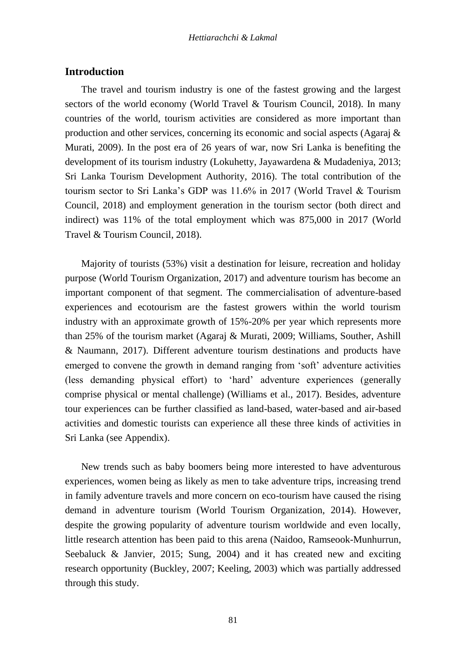## **Introduction**

The travel and tourism industry is one of the fastest growing and the largest sectors of the world economy (World Travel & Tourism Council, 2018). In many countries of the world, tourism activities are considered as more important than production and other services, concerning its economic and social aspects (Agaraj  $\&$ Murati, 2009). In the post era of 26 years of war, now Sri Lanka is benefiting the development of its tourism industry (Lokuhetty, Jayawardena & Mudadeniya, 2013; Sri Lanka Tourism Development Authority, 2016). The total contribution of the tourism sector to Sri Lanka's GDP was 11.6% in 2017 (World Travel & Tourism Council, 2018) and employment generation in the tourism sector (both direct and indirect) was 11% of the total employment which was 875,000 in 2017 (World Travel & Tourism Council, 2018).

Majority of tourists (53%) visit a destination for leisure, recreation and holiday purpose (World Tourism Organization, 2017) and adventure tourism has become an important component of that segment. The commercialisation of adventure-based experiences and ecotourism are the fastest growers within the world tourism industry with an approximate growth of 15%-20% per year which represents more than 25% of the tourism market (Agaraj & Murati, 2009; Williams, Souther, Ashill & Naumann, 2017). Different adventure tourism destinations and products have emerged to convene the growth in demand ranging from 'soft' adventure activities (less demanding physical effort) to 'hard' adventure experiences (generally comprise physical or mental challenge) (Williams et al., 2017). Besides, adventure tour experiences can be further classified as land-based, water-based and air-based activities and domestic tourists can experience all these three kinds of activities in Sri Lanka (see Appendix).

New trends such as baby boomers being more interested to have adventurous experiences, women being as likely as men to take adventure trips, increasing trend in family adventure travels and more concern on eco-tourism have caused the rising demand in adventure tourism (World Tourism Organization, 2014). However, despite the growing popularity of adventure tourism worldwide and even locally, little research attention has been paid to this arena (Naidoo, Ramseook-Munhurrun, Seebaluck & Janvier, 2015; Sung, 2004) and it has created new and exciting research opportunity (Buckley, 2007; Keeling, 2003) which was partially addressed through this study.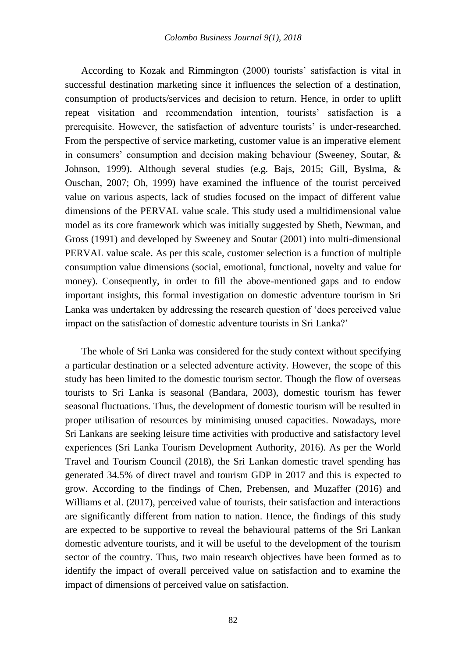According to Kozak and Rimmington (2000) tourists' satisfaction is vital in successful destination marketing since it influences the selection of a destination, consumption of products/services and decision to return. Hence, in order to uplift repeat visitation and recommendation intention, tourists' satisfaction is a prerequisite. However, the satisfaction of adventure tourists' is under-researched. From the perspective of service marketing, customer value is an imperative element in consumers' consumption and decision making behaviour (Sweeney, Soutar, & Johnson, 1999). Although several studies (e.g. Bajs, 2015; Gill, Byslma, & Ouschan, 2007; Oh, 1999) have examined the influence of the tourist perceived value on various aspects, lack of studies focused on the impact of different value dimensions of the PERVAL value scale. This study used a multidimensional value model as its core framework which was initially suggested by Sheth, Newman, and Gross (1991) and developed by Sweeney and Soutar (2001) into multi-dimensional PERVAL value scale. As per this scale, customer selection is a function of multiple consumption value dimensions (social, emotional, functional, novelty and value for money). Consequently, in order to fill the above-mentioned gaps and to endow important insights, this formal investigation on domestic adventure tourism in Sri Lanka was undertaken by addressing the research question of 'does perceived value impact on the satisfaction of domestic adventure tourists in Sri Lanka?'

The whole of Sri Lanka was considered for the study context without specifying a particular destination or a selected adventure activity. However, the scope of this study has been limited to the domestic tourism sector. Though the flow of overseas tourists to Sri Lanka is seasonal (Bandara, 2003), domestic tourism has fewer seasonal fluctuations. Thus, the development of domestic tourism will be resulted in proper utilisation of resources by minimising unused capacities. Nowadays, more Sri Lankans are seeking leisure time activities with productive and satisfactory level experiences (Sri Lanka Tourism Development Authority, 2016). As per the World Travel and Tourism Council (2018), the Sri Lankan domestic travel spending has generated 34.5% of direct travel and tourism GDP in 2017 and this is expected to grow. According to the findings of Chen, Prebensen, and Muzaffer (2016) and Williams et al. (2017), perceived value of tourists, their satisfaction and interactions are significantly different from nation to nation. Hence, the findings of this study are expected to be supportive to reveal the behavioural patterns of the Sri Lankan domestic adventure tourists, and it will be useful to the development of the tourism sector of the country. Thus, two main research objectives have been formed as to identify the impact of overall perceived value on satisfaction and to examine the impact of dimensions of perceived value on satisfaction.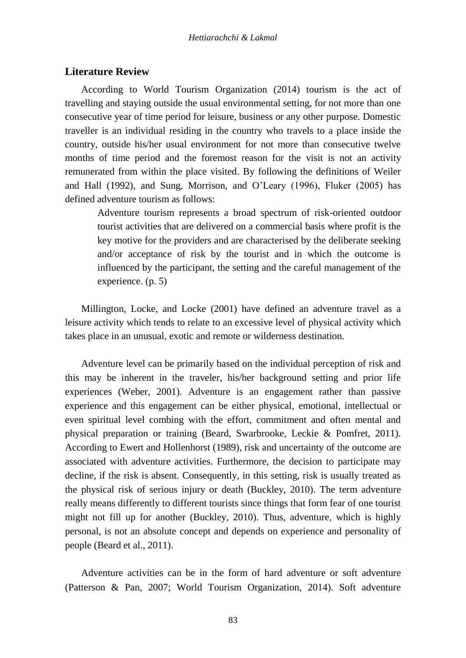### **Literature Review**

According to World Tourism Organization (2014) tourism is the act of travelling and staying outside the usual environmental setting, for not more than one consecutive year of time period for leisure, business or any other purpose. Domestic traveller is an individual residing in the country who travels to a place inside the country, outside his/her usual environment for not more than consecutive twelve months of time period and the foremost reason for the visit is not an activity remunerated from within the place visited. By following the definitions of Weiler and Hall (1992), and Sung, Morrison, and O'Leary (1996), Fluker (2005) has defined adventure tourism as follows:

Adventure tourism represents a broad spectrum of risk-oriented outdoor tourist activities that are delivered on a commercial basis where profit is the key motive for the providers and are characterised by the deliberate seeking and/or acceptance of risk by the tourist and in which the outcome is influenced by the participant, the setting and the careful management of the experience. (p. 5)

Millington, Locke, and Locke (2001) have defined an adventure travel as a leisure activity which tends to relate to an excessive level of physical activity which takes place in an unusual, exotic and remote or wilderness destination.

Adventure level can be primarily based on the individual perception of risk and this may be inherent in the traveler, his/her background setting and prior life experiences (Weber, 2001). Adventure is an engagement rather than passive experience and this engagement can be either physical, emotional, intellectual or even spiritual level combing with the effort, commitment and often mental and physical preparation or training (Beard, Swarbrooke, Leckie & Pomfret, 2011). According to Ewert and Hollenhorst (1989), risk and uncertainty of the outcome are associated with adventure activities. Furthermore, the decision to participate may decline, if the risk is absent. Consequently, in this setting, risk is usually treated as the physical risk of serious injury or death (Buckley, 2010). The term adventure really means differently to different tourists since things that form fear of one tourist might not fill up for another (Buckley, 2010). Thus, adventure, which is highly personal, is not an absolute concept and depends on experience and personality of people (Beard et al., 2011).

Adventure activities can be in the form of hard adventure or soft adventure (Patterson & Pan, 2007; World Tourism Organization, 2014). Soft adventure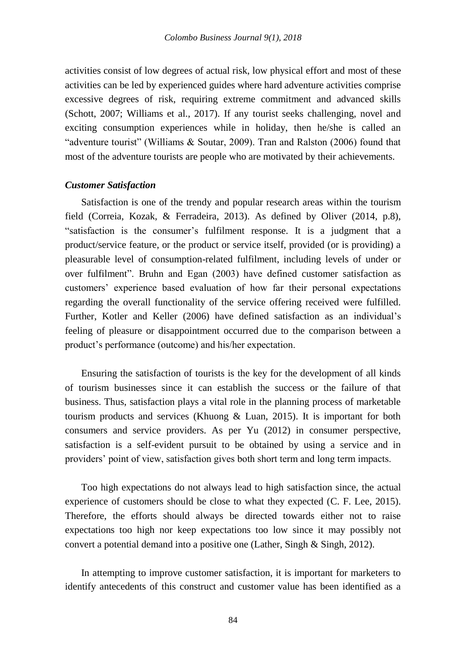activities consist of low degrees of actual risk, low physical effort and most of these activities can be led by experienced guides where hard adventure activities comprise excessive degrees of risk, requiring extreme commitment and advanced skills (Schott, 2007; Williams et al., 2017). If any tourist seeks challenging, novel and exciting consumption experiences while in holiday, then he/she is called an "adventure tourist" (Williams & Soutar, 2009). Tran and Ralston (2006) found that most of the adventure tourists are people who are motivated by their achievements.

#### *Customer Satisfaction*

Satisfaction is one of the trendy and popular research areas within the tourism field (Correia, Kozak, & Ferradeira, 2013). As defined by Oliver (2014, p.8), "satisfaction is the consumer's fulfilment response. It is a judgment that a product/service feature, or the product or service itself, provided (or is providing) a pleasurable level of consumption-related fulfilment, including levels of under or over fulfilment". Bruhn and Egan (2003) have defined customer satisfaction as customers' experience based evaluation of how far their personal expectations regarding the overall functionality of the service offering received were fulfilled. Further, Kotler and Keller (2006) have defined satisfaction as an individual's feeling of pleasure or disappointment occurred due to the comparison between a product's performance (outcome) and his/her expectation.

Ensuring the satisfaction of tourists is the key for the development of all kinds of tourism businesses since it can establish the success or the failure of that business. Thus, satisfaction plays a vital role in the planning process of marketable tourism products and services (Khuong & Luan, 2015). It is important for both consumers and service providers. As per Yu (2012) in consumer perspective, satisfaction is a self-evident pursuit to be obtained by using a service and in providers' point of view, satisfaction gives both short term and long term impacts.

Too high expectations do not always lead to high satisfaction since, the actual experience of customers should be close to what they expected (C. F. Lee, 2015). Therefore, the efforts should always be directed towards either not to raise expectations too high nor keep expectations too low since it may possibly not convert a potential demand into a positive one (Lather, Singh & Singh, 2012).

In attempting to improve customer satisfaction, it is important for marketers to identify antecedents of this construct and customer value has been identified as a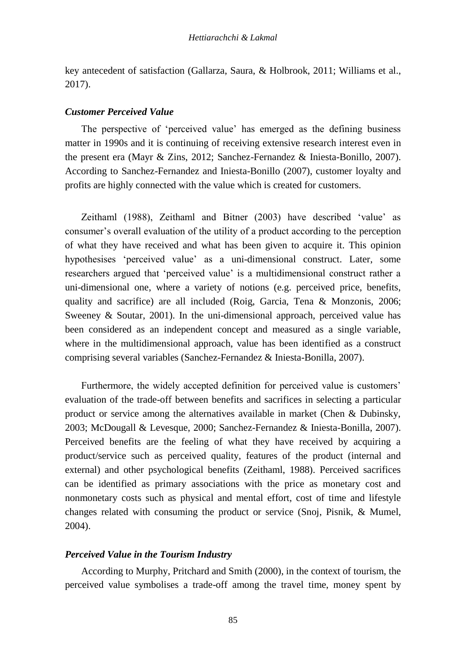key antecedent of satisfaction (Gallarza, Saura, & Holbrook, 2011; Williams et al., 2017).

#### *Customer Perceived Value*

The perspective of 'perceived value' has emerged as the defining business matter in 1990s and it is continuing of receiving extensive research interest even in the present era (Mayr & Zins, 2012; Sanchez-Fernandez & Iniesta-Bonillo, 2007). According to Sanchez-Fernandez and Iniesta-Bonillo (2007), customer loyalty and profits are highly connected with the value which is created for customers.

Zeithaml (1988), Zeithaml and Bitner (2003) have described 'value' as consumer's overall evaluation of the utility of a product according to the perception of what they have received and what has been given to acquire it. This opinion hypothesises 'perceived value' as a uni-dimensional construct. Later, some researchers argued that 'perceived value' is a multidimensional construct rather a uni-dimensional one, where a variety of notions (e.g. perceived price, benefits, quality and sacrifice) are all included (Roig, Garcia, Tena & Monzonis, 2006; Sweeney & Soutar, 2001). In the uni-dimensional approach, perceived value has been considered as an independent concept and measured as a single variable, where in the multidimensional approach, value has been identified as a construct comprising several variables (Sanchez-Fernandez & Iniesta-Bonilla, 2007).

Furthermore, the widely accepted definition for perceived value is customers' evaluation of the trade-off between benefits and sacrifices in selecting a particular product or service among the alternatives available in market (Chen & Dubinsky, 2003; McDougall & Levesque, 2000; Sanchez-Fernandez & Iniesta-Bonilla, 2007). Perceived benefits are the feeling of what they have received by acquiring a product/service such as perceived quality, features of the product (internal and external) and other psychological benefits (Zeithaml, 1988). Perceived sacrifices can be identified as primary associations with the price as monetary cost and nonmonetary costs such as physical and mental effort, cost of time and lifestyle changes related with consuming the product or service (Snoj, Pisnik, & Mumel, 2004).

### *Perceived Value in the Tourism Industry*

According to Murphy, Pritchard and Smith (2000), in the context of tourism, the perceived value symbolises a trade-off among the travel time, money spent by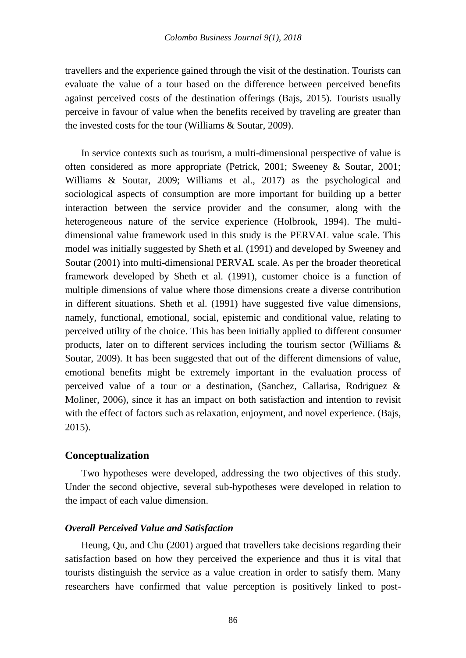travellers and the experience gained through the visit of the destination. Tourists can evaluate the value of a tour based on the difference between perceived benefits against perceived costs of the destination offerings (Bajs, 2015). Tourists usually perceive in favour of value when the benefits received by traveling are greater than the invested costs for the tour (Williams & Soutar, 2009).

In service contexts such as tourism, a multi-dimensional perspective of value is often considered as more appropriate (Petrick, 2001; Sweeney & Soutar, 2001; Williams & Soutar, 2009; Williams et al., 2017) as the psychological and sociological aspects of consumption are more important for building up a better interaction between the service provider and the consumer, along with the heterogeneous nature of the service experience (Holbrook, 1994). The multidimensional value framework used in this study is the PERVAL value scale. This model was initially suggested by Sheth et al. (1991) and developed by Sweeney and Soutar (2001) into multi-dimensional PERVAL scale. As per the broader theoretical framework developed by Sheth et al. (1991), customer choice is a function of multiple dimensions of value where those dimensions create a diverse contribution in different situations. Sheth et al. (1991) have suggested five value dimensions, namely, functional, emotional, social, epistemic and conditional value, relating to perceived utility of the choice. This has been initially applied to different consumer products, later on to different services including the tourism sector (Williams & Soutar, 2009). It has been suggested that out of the different dimensions of value, emotional benefits might be extremely important in the evaluation process of perceived value of a tour or a destination, (Sanchez, Callarisa, Rodriguez & Moliner, 2006), since it has an impact on both satisfaction and intention to revisit with the effect of factors such as relaxation, enjoyment, and novel experience. (Bajs, 2015).

## **Conceptualization**

Two hypotheses were developed, addressing the two objectives of this study. Under the second objective, several sub-hypotheses were developed in relation to the impact of each value dimension.

## *Overall Perceived Value and Satisfaction*

Heung, Qu, and Chu (2001) argued that travellers take decisions regarding their satisfaction based on how they perceived the experience and thus it is vital that tourists distinguish the service as a value creation in order to satisfy them. Many researchers have confirmed that value perception is positively linked to post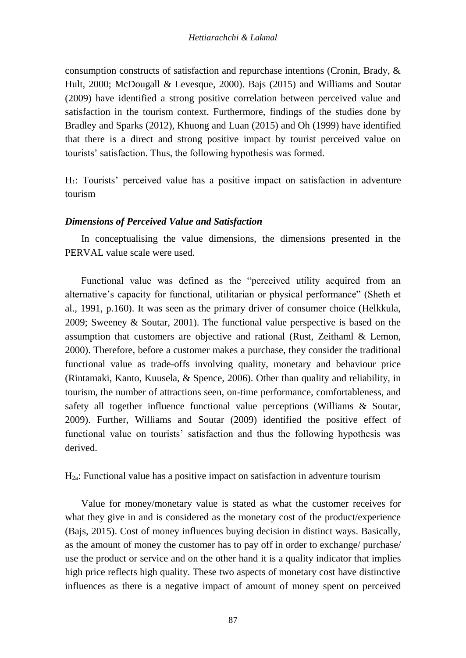consumption constructs of satisfaction and repurchase intentions (Cronin, Brady, & Hult, 2000; McDougall & Levesque, 2000). Bajs (2015) and Williams and Soutar (2009) have identified a strong positive correlation between perceived value and satisfaction in the tourism context. Furthermore, findings of the studies done by Bradley and Sparks (2012), Khuong and Luan (2015) and Oh (1999) have identified that there is a direct and strong positive impact by tourist perceived value on tourists' satisfaction. Thus, the following hypothesis was formed.

H1: Tourists' perceived value has a positive impact on satisfaction in adventure tourism

## *Dimensions of Perceived Value and Satisfaction*

In conceptualising the value dimensions, the dimensions presented in the PERVAL value scale were used.

Functional value was defined as the "perceived utility acquired from an alternative's capacity for functional, utilitarian or physical performance" (Sheth et al., 1991, p.160). It was seen as the primary driver of consumer choice (Helkkula, 2009; Sweeney & Soutar, 2001). The functional value perspective is based on the assumption that customers are objective and rational (Rust, Zeithaml & Lemon, 2000). Therefore, before a customer makes a purchase, they consider the traditional functional value as trade-offs involving quality, monetary and behaviour price (Rintamaki, Kanto, Kuusela, & Spence, 2006). Other than quality and reliability, in tourism, the number of attractions seen, on-time performance, comfortableness, and safety all together influence functional value perceptions (Williams & Soutar, 2009). Further, Williams and Soutar (2009) identified the positive effect of functional value on tourists' satisfaction and thus the following hypothesis was derived.

H2a: Functional value has a positive impact on satisfaction in adventure tourism

Value for money/monetary value is stated as what the customer receives for what they give in and is considered as the monetary cost of the product/experience (Bajs, 2015). Cost of money influences buying decision in distinct ways. Basically, as the amount of money the customer has to pay off in order to exchange/ purchase/ use the product or service and on the other hand it is a quality indicator that implies high price reflects high quality. These two aspects of monetary cost have distinctive influences as there is a negative impact of amount of money spent on perceived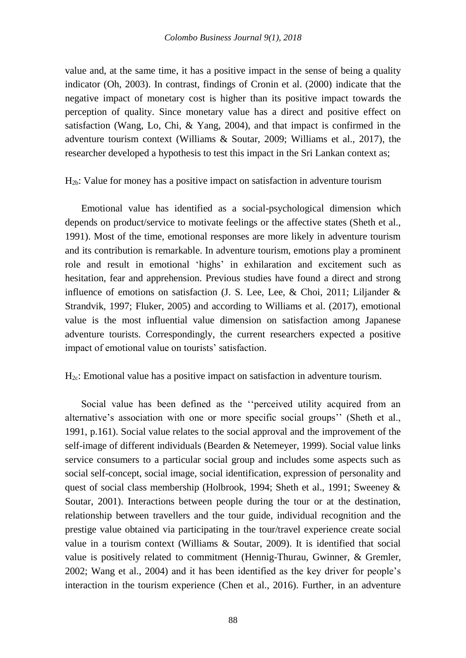value and, at the same time, it has a positive impact in the sense of being a quality indicator (Oh, 2003). In contrast, findings of Cronin et al. (2000) indicate that the negative impact of monetary cost is higher than its positive impact towards the perception of quality. Since monetary value has a direct and positive effect on satisfaction (Wang, Lo, Chi, & Yang, 2004), and that impact is confirmed in the adventure tourism context (Williams & Soutar, 2009; Williams et al., 2017), the researcher developed a hypothesis to test this impact in the Sri Lankan context as;

 $H_{2b}$ : Value for money has a positive impact on satisfaction in adventure tourism

Emotional value has identified as a social-psychological dimension which depends on product/service to motivate feelings or the affective states (Sheth et al., 1991). Most of the time, emotional responses are more likely in adventure tourism and its contribution is remarkable. In adventure tourism, emotions play a prominent role and result in emotional 'highs' in exhilaration and excitement such as hesitation, fear and apprehension. Previous studies have found a direct and strong influence of emotions on satisfaction (J. S. Lee, Lee, & Choi, 2011; Liljander & Strandvik, 1997; Fluker, 2005) and according to Williams et al. (2017), emotional value is the most influential value dimension on satisfaction among Japanese adventure tourists. Correspondingly, the current researchers expected a positive impact of emotional value on tourists' satisfaction.

### H<sub>2c</sub>: Emotional value has a positive impact on satisfaction in adventure tourism.

Social value has been defined as the ''perceived utility acquired from an alternative's association with one or more specific social groups'' (Sheth et al., 1991, p.161). Social value relates to the social approval and the improvement of the self-image of different individuals (Bearden & Netemeyer, 1999). Social value links service consumers to a particular social group and includes some aspects such as social self-concept, social image, social identification, expression of personality and quest of social class membership (Holbrook, 1994; Sheth et al., 1991; Sweeney & Soutar, 2001). Interactions between people during the tour or at the destination, relationship between travellers and the tour guide, individual recognition and the prestige value obtained via participating in the tour/travel experience create social value in a tourism context (Williams & Soutar, 2009). It is identified that social value is positively related to commitment (Hennig-Thurau, Gwinner, & Gremler, 2002; Wang et al., 2004) and it has been identified as the key driver for people's interaction in the tourism experience (Chen et al., 2016). Further, in an adventure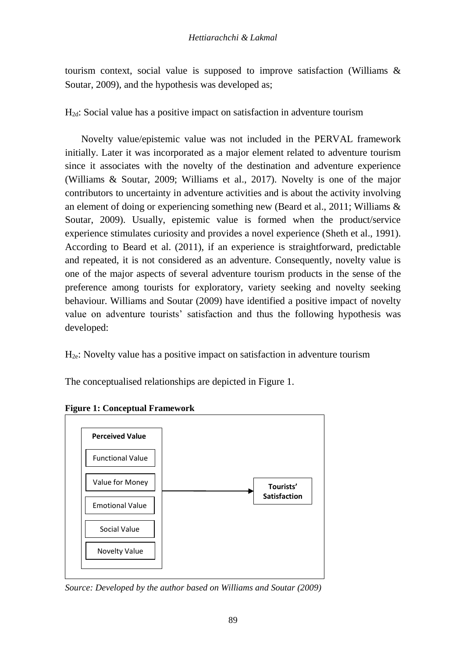tourism context, social value is supposed to improve satisfaction (Williams  $\&$ Soutar, 2009), and the hypothesis was developed as;

H2d: Social value has a positive impact on satisfaction in adventure tourism

Novelty value/epistemic value was not included in the PERVAL framework initially. Later it was incorporated as a major element related to adventure tourism since it associates with the novelty of the destination and adventure experience (Williams & Soutar, 2009; Williams et al., 2017). Novelty is one of the major contributors to uncertainty in adventure activities and is about the activity involving an element of doing or experiencing something new (Beard et al., 2011; Williams  $\&$ Soutar, 2009). Usually, epistemic value is formed when the product/service experience stimulates curiosity and provides a novel experience (Sheth et al., 1991). According to Beard et al. (2011), if an experience is straightforward, predictable and repeated, it is not considered as an adventure. Consequently, novelty value is one of the major aspects of several adventure tourism products in the sense of the preference among tourists for exploratory, variety seeking and novelty seeking behaviour. Williams and Soutar (2009) have identified a positive impact of novelty value on adventure tourists' satisfaction and thus the following hypothesis was developed:

H2e: Novelty value has a positive impact on satisfaction in adventure tourism

The conceptualised relationships are depicted in Figure 1.



**Figure 1: Conceptual Framework**

*Source: Developed by the author based on Williams and Soutar (2009)*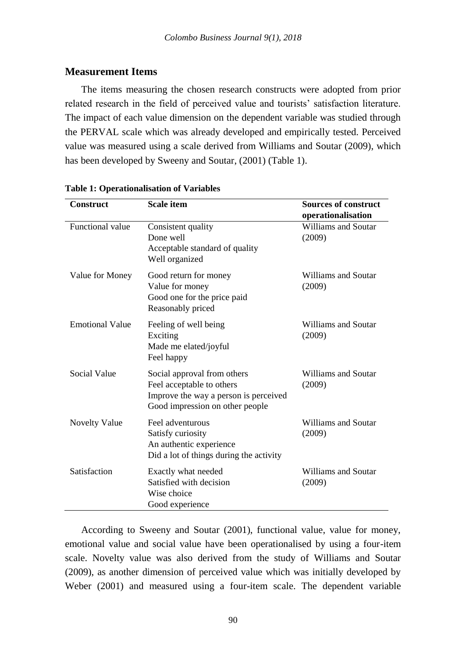## **Measurement Items**

The items measuring the chosen research constructs were adopted from prior related research in the field of perceived value and tourists' satisfaction literature. The impact of each value dimension on the dependent variable was studied through the PERVAL scale which was already developed and empirically tested. Perceived value was measured using a scale derived from Williams and Soutar (2009), which has been developed by Sweeny and Soutar, (2001) (Table 1).

| <b>Construct</b>       | <b>Scale item</b>                                                                                                                    | <b>Sources of construct</b><br>operationalisation |
|------------------------|--------------------------------------------------------------------------------------------------------------------------------------|---------------------------------------------------|
| Functional value       | Consistent quality<br>Done well<br>Acceptable standard of quality<br>Well organized                                                  | <b>Williams and Soutar</b><br>(2009)              |
| Value for Money        | Good return for money<br>Value for money<br>Good one for the price paid<br>Reasonably priced                                         | Williams and Soutar<br>(2009)                     |
| <b>Emotional Value</b> | Feeling of well being<br>Exciting<br>Made me elated/joyful<br>Feel happy                                                             | <b>Williams and Soutar</b><br>(2009)              |
| Social Value           | Social approval from others<br>Feel acceptable to others<br>Improve the way a person is perceived<br>Good impression on other people | Williams and Soutar<br>(2009)                     |
| <b>Novelty Value</b>   | Feel adventurous<br>Satisfy curiosity<br>An authentic experience<br>Did a lot of things during the activity                          | Williams and Soutar<br>(2009)                     |
| Satisfaction           | Exactly what needed<br>Satisfied with decision<br>Wise choice<br>Good experience                                                     | Williams and Soutar<br>(2009)                     |

#### **Table 1: Operationalisation of Variables**

According to Sweeny and Soutar (2001), functional value, value for money, emotional value and social value have been operationalised by using a four-item scale. Novelty value was also derived from the study of Williams and Soutar (2009), as another dimension of perceived value which was initially developed by Weber (2001) and measured using a four-item scale. The dependent variable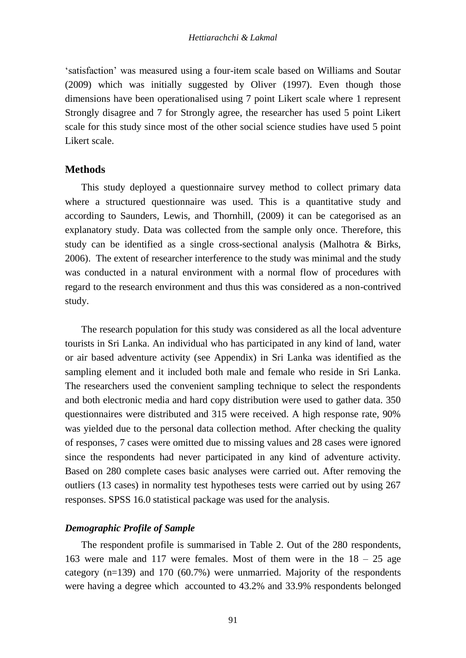'satisfaction' was measured using a four-item scale based on Williams and Soutar (2009) which was initially suggested by Oliver (1997). Even though those dimensions have been operationalised using 7 point Likert scale where 1 represent Strongly disagree and 7 for Strongly agree, the researcher has used 5 point Likert scale for this study since most of the other social science studies have used 5 point Likert scale.

## **Methods**

This study deployed a questionnaire survey method to collect primary data where a structured questionnaire was used. This is a quantitative study and according to Saunders, Lewis, and Thornhill, (2009) it can be categorised as an explanatory study. Data was collected from the sample only once. Therefore, this study can be identified as a single cross-sectional analysis (Malhotra & Birks, 2006). The extent of researcher interference to the study was minimal and the study was conducted in a natural environment with a normal flow of procedures with regard to the research environment and thus this was considered as a non-contrived study.

The research population for this study was considered as all the local adventure tourists in Sri Lanka. An individual who has participated in any kind of land, water or air based adventure activity (see Appendix) in Sri Lanka was identified as the sampling element and it included both male and female who reside in Sri Lanka. The researchers used the convenient sampling technique to select the respondents and both electronic media and hard copy distribution were used to gather data. 350 questionnaires were distributed and 315 were received. A high response rate, 90% was yielded due to the personal data collection method. After checking the quality of responses, 7 cases were omitted due to missing values and 28 cases were ignored since the respondents had never participated in any kind of adventure activity. Based on 280 complete cases basic analyses were carried out. After removing the outliers (13 cases) in normality test hypotheses tests were carried out by using 267 responses. SPSS 16.0 statistical package was used for the analysis.

### *Demographic Profile of Sample*

The respondent profile is summarised in Table 2. Out of the 280 respondents, 163 were male and 117 were females. Most of them were in the 18 – 25 age category (n=139) and 170 (60.7%) were unmarried. Majority of the respondents were having a degree which accounted to 43.2% and 33.9% respondents belonged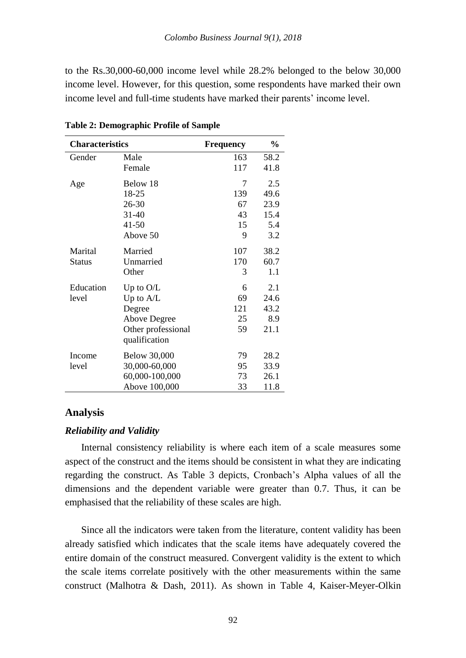to the Rs.30,000-60,000 income level while 28.2% belonged to the below 30,000 income level. However, for this question, some respondents have marked their own income level and full-time students have marked their parents' income level.

| <b>Characteristics</b> |                     | Frequency | $\frac{6}{9}$ |
|------------------------|---------------------|-----------|---------------|
| Gender                 | Male                | 163       | 58.2          |
|                        | Female              | 117       | 41.8          |
| Age                    | Below 18            | 7         | 2.5           |
|                        | 18-25               | 139       | 49.6          |
|                        | 26-30               | 67        | 23.9          |
|                        | 31-40               | 43        | 15.4          |
|                        | $41 - 50$           | 15        | 5.4           |
|                        | Above 50            | 9         | 3.2           |
| Marital                | Married             | 107       | 38.2          |
| <b>Status</b>          | Unmarried           | 170       | 60.7          |
|                        | Other               | 3         | 1.1           |
| Education              | Up to O/L           | 6         | 2.1           |
| level                  | Up to $A/L$         | 69        | 24.6          |
|                        | Degree              | 121       | 43.2          |
|                        | <b>Above Degree</b> | 25        | 8.9           |
|                        | Other professional  | 59        | 21.1          |
|                        | qualification       |           |               |
| Income                 | <b>Below 30,000</b> | 79        | 28.2          |
| level                  | 30,000-60,000       | 95        | 33.9          |
|                        | 60,000-100,000      | 73        | 26.1          |
|                        | Above 100,000       | 33        | 11.8          |

**Table 2: Demographic Profile of Sample**

#### **Analysis**

### *Reliability and Validity*

Internal consistency reliability is where each item of a scale measures some aspect of the construct and the items should be consistent in what they are indicating regarding the construct. As Table 3 depicts, Cronbach's Alpha values of all the dimensions and the dependent variable were greater than 0.7. Thus, it can be emphasised that the reliability of these scales are high.

Since all the indicators were taken from the literature, content validity has been already satisfied which indicates that the scale items have adequately covered the entire domain of the construct measured. Convergent validity is the extent to which the scale items correlate positively with the other measurements within the same construct (Malhotra & Dash, 2011). As shown in Table 4, Kaiser-Meyer-Olkin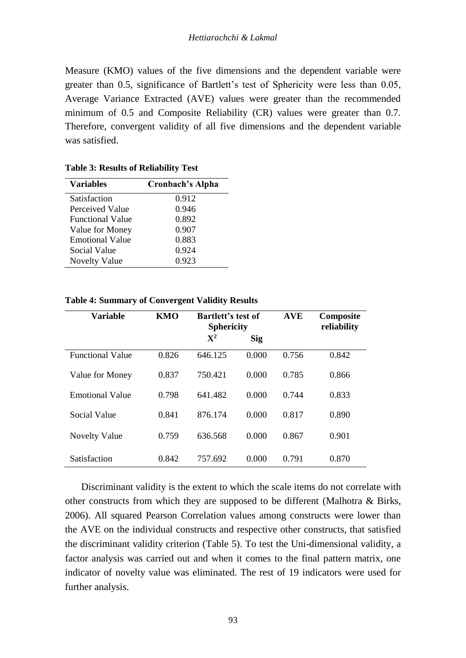Measure (KMO) values of the five dimensions and the dependent variable were greater than 0.5, significance of Bartlett's test of Sphericity were less than 0.05, Average Variance Extracted (AVE) values were greater than the recommended minimum of 0.5 and Composite Reliability (CR) values were greater than 0.7. Therefore, convergent validity of all five dimensions and the dependent variable was satisfied.

| <b>Variables</b>        | Cronbach's Alpha |
|-------------------------|------------------|
| Satisfaction            | 0.912            |
| Perceived Value         | 0.946            |
| <b>Functional Value</b> | 0.892            |
| Value for Money         | 0.907            |
| <b>Emotional Value</b>  | 0.883            |
| Social Value            | 0.924            |
| <b>Novelty Value</b>    | 0.923            |

**Table 3: Results of Reliability Test**

| <b>Variable</b>         | <b>KMO</b> | <b>Bartlett's test of</b><br><b>Sphericity</b> |            | <b>AVE</b> | Composite<br>reliability |
|-------------------------|------------|------------------------------------------------|------------|------------|--------------------------|
|                         |            | $\mathbf{X}^2$                                 | <b>Sig</b> |            |                          |
| <b>Functional Value</b> | 0.826      | 646.125                                        | 0.000      | 0.756      | 0.842                    |
| Value for Money         | 0.837      | 750.421                                        | 0.000      | 0.785      | 0.866                    |
| <b>Emotional Value</b>  | 0.798      | 641.482                                        | 0.000      | 0.744      | 0.833                    |
| Social Value            | 0.841      | 876.174                                        | 0.000      | 0.817      | 0.890                    |
| <b>Novelty Value</b>    | 0.759      | 636.568                                        | 0.000      | 0.867      | 0.901                    |
| Satisfaction            | 0.842      | 757.692                                        | 0.000      | 0.791      | 0.870                    |

**Table 4: Summary of Convergent Validity Results**

Discriminant validity is the extent to which the scale items do not correlate with other constructs from which they are supposed to be different (Malhotra & Birks, 2006). All squared Pearson Correlation values among constructs were lower than the AVE on the individual constructs and respective other constructs, that satisfied the discriminant validity criterion (Table 5). To test the Uni-dimensional validity, a factor analysis was carried out and when it comes to the final pattern matrix, one indicator of novelty value was eliminated. The rest of 19 indicators were used for further analysis.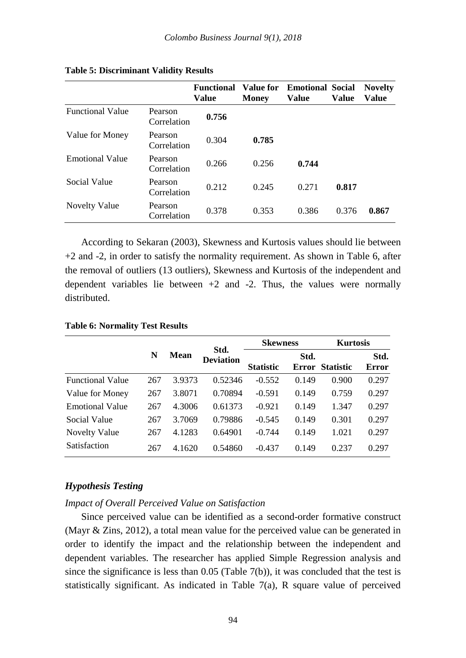$\mathcal{L}$ 

 $\sim$ 

|                         |                        | <b>Functional</b><br>Value | <b>Value for</b><br>Money | <b>Emotional Social</b><br>Value | Value | <b>Novelty</b><br>Value |
|-------------------------|------------------------|----------------------------|---------------------------|----------------------------------|-------|-------------------------|
| <b>Functional Value</b> | Pearson<br>Correlation | 0.756                      |                           |                                  |       |                         |
| Value for Money         | Pearson<br>Correlation | 0.304                      | 0.785                     |                                  |       |                         |
| <b>Emotional Value</b>  | Pearson<br>Correlation | 0.266                      | 0.256                     | 0.744                            |       |                         |
| Social Value            | Pearson<br>Correlation | 0.212                      | 0.245                     | 0.271                            | 0.817 |                         |
| Novelty Value           | Pearson<br>Correlation | 0.378                      | 0.353                     | 0.386                            | 0.376 | 0.867                   |

#### **Table 5: Discriminant Validity Results**

According to Sekaran (2003), Skewness and Kurtosis values should lie between +2 and -2, in order to satisfy the normality requirement. As shown in Table 6, after the removal of outliers (13 outliers), Skewness and Kurtosis of the independent and dependent variables lie between  $+2$  and  $-2$ . Thus, the values were normally distributed.

 $\mathbb{R}$ 

#### **Table 6: Normality Test Results**

|                         |     |             |                          | <b>Skewness</b>  |               | <b>Kurtosis</b>  |                      |
|-------------------------|-----|-------------|--------------------------|------------------|---------------|------------------|----------------------|
|                         | N   | <b>Mean</b> | Std.<br><b>Deviation</b> | <b>Statistic</b> | Std.<br>Error | <b>Statistic</b> | Std.<br><b>Error</b> |
| <b>Functional Value</b> | 267 | 3.9373      | 0.52346                  | $-0.552$         | 0.149         | 0.900            | 0.297                |
| Value for Money         | 267 | 3.8071      | 0.70894                  | $-0.591$         | 0.149         | 0.759            | 0.297                |
| <b>Emotional Value</b>  | 267 | 4.3006      | 0.61373                  | $-0.921$         | 0.149         | 1.347            | 0.297                |
| Social Value            | 267 | 3.7069      | 0.79886                  | $-0.545$         | 0.149         | 0.301            | 0.297                |
| <b>Novelty Value</b>    | 267 | 4.1283      | 0.64901                  | $-0.744$         | 0.149         | 1.021            | 0.297                |
| Satisfaction            | 267 | 4.1620      | 0.54860                  | $-0.437$         | 0.149         | 0.237            | 0.297                |

÷.

#### *Hypothesis Testing*

#### *Impact of Overall Perceived Value on Satisfaction*

Since perceived value can be identified as a second-order formative construct (Mayr & Zins, 2012), a total mean value for the perceived value can be generated in order to identify the impact and the relationship between the independent and dependent variables. The researcher has applied Simple Regression analysis and since the significance is less than  $0.05$  (Table 7(b)), it was concluded that the test is statistically significant. As indicated in Table 7(a), R square value of perceived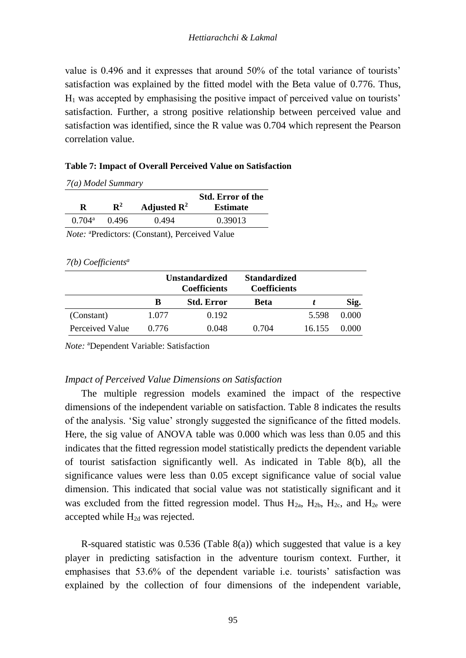value is 0.496 and it expresses that around 50% of the total variance of tourists' satisfaction was explained by the fitted model with the Beta value of 0.776. Thus,  $H<sub>1</sub>$  was accepted by emphasising the positive impact of perceived value on tourists' satisfaction. Further, a strong positive relationship between perceived value and satisfaction was identified, since the R value was 0.704 which represent the Pearson correlation value.

### **Table 7: Impact of Overall Perceived Value on Satisfaction**

*7(a) Model Summary*

| R               | $\mathbf{R}^2$ | Adjusted $\mathbb{R}^2$ | <b>Std. Error of the</b><br><b>Estimate</b> |
|-----------------|----------------|-------------------------|---------------------------------------------|
| $0.704^{\rm a}$ | 0.496          | 0.494                   | 0.39013                                     |
|                 |                |                         |                                             |

*Note:* <sup>a</sup>Predictors: (Constant), Perceived Value

*7(b) Coefficients<sup>a</sup>*

|                 |       | <b>Unstandardized</b><br><b>Coefficients</b> | <b>Standardized</b><br><b>Coefficients</b> |        |       |
|-----------------|-------|----------------------------------------------|--------------------------------------------|--------|-------|
|                 | в     | <b>Std. Error</b>                            | Beta                                       |        | Sig.  |
| (Constant)      | 1.077 | 0.192                                        |                                            | 5.598  | 0.000 |
| Perceived Value | 0.776 | 0.048                                        | 0.704                                      | 16.155 | 0.000 |

*Note:* <sup>a</sup>Dependent Variable: Satisfaction

### *Impact of Perceived Value Dimensions on Satisfaction*

The multiple regression models examined the impact of the respective dimensions of the independent variable on satisfaction. Table 8 indicates the results of the analysis. 'Sig value' strongly suggested the significance of the fitted models. Here, the sig value of ANOVA table was 0.000 which was less than 0.05 and this indicates that the fitted regression model statistically predicts the dependent variable of tourist satisfaction significantly well. As indicated in Table 8(b), all the significance values were less than 0.05 except significance value of social value dimension. This indicated that social value was not statistically significant and it was excluded from the fitted regression model. Thus  $H_{2a}$ ,  $H_{2b}$ ,  $H_{2c}$ , and  $H_{2e}$  were accepted while  $H_{2d}$  was rejected.

R-squared statistic was 0.536 (Table 8(a)) which suggested that value is a key player in predicting satisfaction in the adventure tourism context. Further, it emphasises that 53.6% of the dependent variable i.e. tourists' satisfaction was explained by the collection of four dimensions of the independent variable,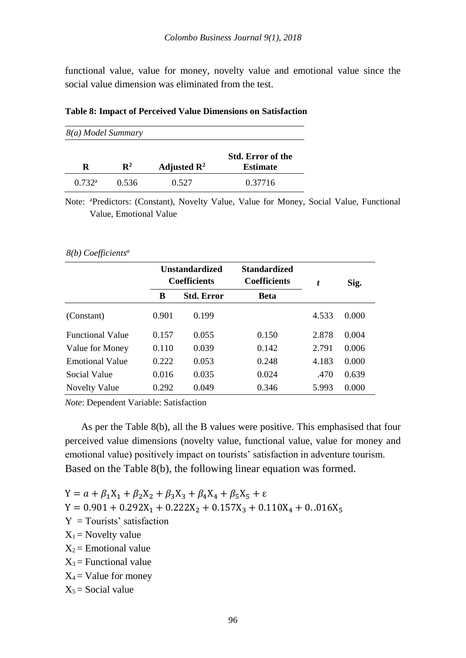functional value, value for money, novelty value and emotional value since the social value dimension was eliminated from the test.

#### **Table 8: Impact of Perceived Value Dimensions on Satisfaction**

*8(a) Model Summary*

|                 | $\mathbf{R}^2$ | Adjusted $\mathbb{R}^2$ | <b>Std. Error of the</b><br><b>Estimate</b> |
|-----------------|----------------|-------------------------|---------------------------------------------|
| $0.732^{\rm a}$ | 0.536          | 0.527                   | 0.37716                                     |

Note: <sup>a</sup>Predictors: (Constant), Novelty Value, Value for Money, Social Value, Functional Value, Emotional Value

#### *8(b) Coefficients<sup>a</sup>*

|                         |       | <b>Unstandardized</b><br><b>Coefficients</b> | <b>Standardized</b><br><b>Coefficients</b> | t     | Sig.  |
|-------------------------|-------|----------------------------------------------|--------------------------------------------|-------|-------|
|                         | в     | <b>Std. Error</b>                            | <b>Beta</b>                                |       |       |
| (Constant)              | 0.901 | 0.199                                        |                                            | 4.533 | 0.000 |
| <b>Functional Value</b> | 0.157 | 0.055                                        | 0.150                                      | 2.878 | 0.004 |
| Value for Money         | 0.110 | 0.039                                        | 0.142                                      | 2.791 | 0.006 |
| <b>Emotional Value</b>  | 0.222 | 0.053                                        | 0.248                                      | 4.183 | 0.000 |
| Social Value            | 0.016 | 0.035                                        | 0.024                                      | .470  | 0.639 |
| Novelty Value           | 0.292 | 0.049                                        | 0.346                                      | 5.993 | 0.000 |

*Note*: Dependent Variable: Satisfaction

As per the Table 8(b), all the B values were positive. This emphasised that four perceived value dimensions (novelty value, functional value, value for money and emotional value) positively impact on tourists' satisfaction in adventure tourism. Based on the Table 8(b), the following linear equation was formed.

 $Y = a + \beta_1 X_1 + \beta_2 X_2 + \beta_3 X_3 + \beta_4 X_4 + \beta_5 X_5 + \varepsilon$ 

- $Y = 0.901 + 0.292X_1 + 0.222X_2 + 0.157X_3 + 0.110X_4 + 0.016X_5$
- $Y = Tourists' satisfaction$
- $X_1$  = Novelty value
- $X_2$  = Emotional value
- $X_3$  = Functional value
- $X_4$  = Value for money
- $X_5$  = Social value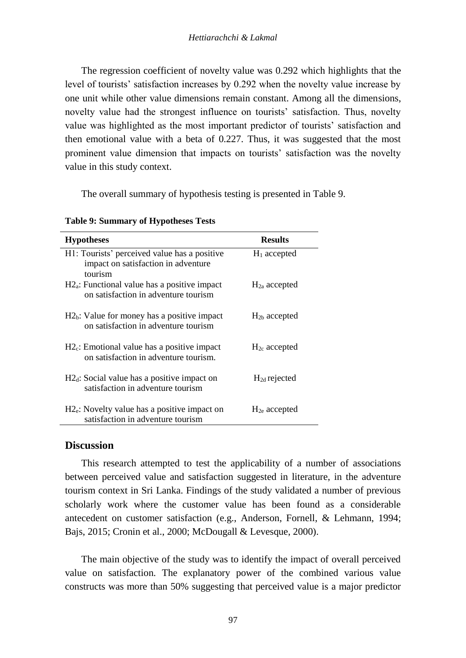The regression coefficient of novelty value was 0.292 which highlights that the level of tourists' satisfaction increases by 0.292 when the novelty value increase by one unit while other value dimensions remain constant. Among all the dimensions, novelty value had the strongest influence on tourists' satisfaction. Thus, novelty value was highlighted as the most important predictor of tourists' satisfaction and then emotional value with a beta of 0.227. Thus, it was suggested that the most prominent value dimension that impacts on tourists' satisfaction was the novelty value in this study context.

The overall summary of hypothesis testing is presented in Table 9.

| <b>Hypotheses</b>                                                                              | <b>Results</b>    |
|------------------------------------------------------------------------------------------------|-------------------|
| H1: Tourists' perceived value has a positive<br>impact on satisfaction in adventure<br>tourism | $H_1$ accepted    |
| $H2_a$ : Functional value has a positive impact<br>on satisfaction in adventure tourism        | $H_{2a}$ accepted |
| $H2b$ : Value for money has a positive impact<br>on satisfaction in adventure tourism          | $H_{2b}$ accepted |
| $H2c$ : Emotional value has a positive impact<br>on satisfaction in adventure tourism.         | $H_{2c}$ accepted |
| $H2_d$ : Social value has a positive impact on<br>satisfaction in adventure tourism            | $H_{2d}$ rejected |
| $H2e$ : Novelty value has a positive impact on<br>satisfaction in adventure tourism            | $H_{2e}$ accepted |

**Table 9: Summary of Hypotheses Tests** 

# **Discussion**

This research attempted to test the applicability of a number of associations between perceived value and satisfaction suggested in literature, in the adventure tourism context in Sri Lanka. Findings of the study validated a number of previous scholarly work where the customer value has been found as a considerable antecedent on customer satisfaction (e.g., Anderson, Fornell, & Lehmann, 1994; Bajs, 2015; Cronin et al., 2000; McDougall & Levesque, 2000).

The main objective of the study was to identify the impact of overall perceived value on satisfaction. The explanatory power of the combined various value constructs was more than 50% suggesting that perceived value is a major predictor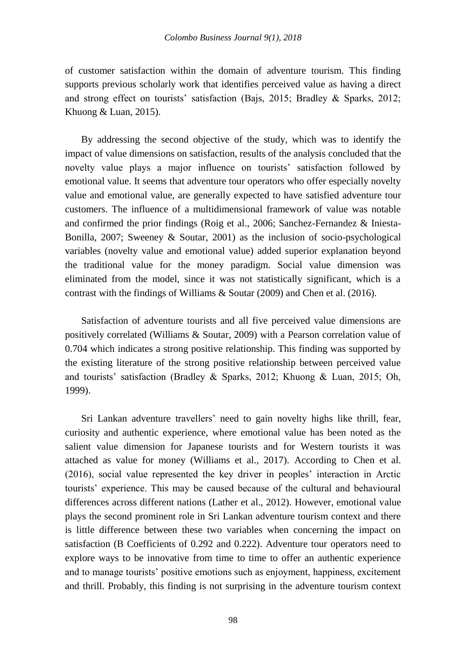of customer satisfaction within the domain of adventure tourism. This finding supports previous scholarly work that identifies perceived value as having a direct and strong effect on tourists' satisfaction (Bajs, 2015; Bradley & Sparks, 2012; Khuong & Luan, 2015).

By addressing the second objective of the study, which was to identify the impact of value dimensions on satisfaction, results of the analysis concluded that the novelty value plays a major influence on tourists' satisfaction followed by emotional value. It seems that adventure tour operators who offer especially novelty value and emotional value, are generally expected to have satisfied adventure tour customers. The influence of a multidimensional framework of value was notable and confirmed the prior findings (Roig et al., 2006; Sanchez-Fernandez & Iniesta-Bonilla, 2007; Sweeney & Soutar, 2001) as the inclusion of socio-psychological variables (novelty value and emotional value) added superior explanation beyond the traditional value for the money paradigm. Social value dimension was eliminated from the model, since it was not statistically significant, which is a contrast with the findings of Williams & Soutar (2009) and Chen et al. (2016).

Satisfaction of adventure tourists and all five perceived value dimensions are positively correlated (Williams & Soutar, 2009) with a Pearson correlation value of 0.704 which indicates a strong positive relationship. This finding was supported by the existing literature of the strong positive relationship between perceived value and tourists' satisfaction (Bradley & Sparks, 2012; Khuong & Luan, 2015; Oh, 1999).

Sri Lankan adventure travellers' need to gain novelty highs like thrill, fear, curiosity and authentic experience, where emotional value has been noted as the salient value dimension for Japanese tourists and for Western tourists it was attached as value for money (Williams et al., 2017). According to Chen et al. (2016), social value represented the key driver in peoples' interaction in Arctic tourists' experience. This may be caused because of the cultural and behavioural differences across different nations (Lather et al., 2012). However, emotional value plays the second prominent role in Sri Lankan adventure tourism context and there is little difference between these two variables when concerning the impact on satisfaction (B Coefficients of 0.292 and 0.222). Adventure tour operators need to explore ways to be innovative from time to time to offer an authentic experience and to manage tourists' positive emotions such as enjoyment, happiness, excitement and thrill. Probably, this finding is not surprising in the adventure tourism context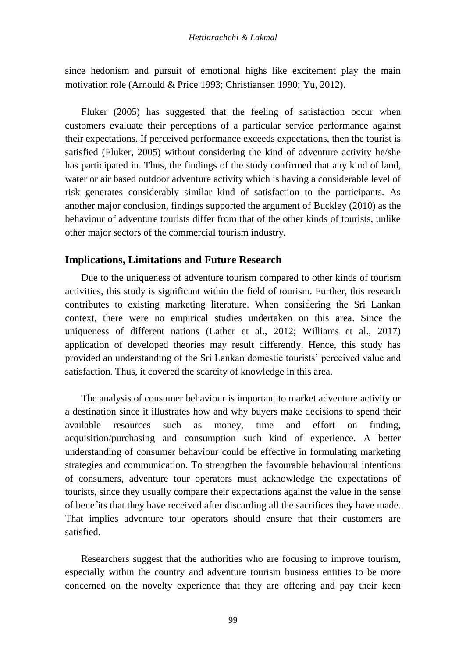since hedonism and pursuit of emotional highs like excitement play the main motivation role (Arnould & Price 1993; Christiansen 1990; Yu, 2012).

Fluker (2005) has suggested that the feeling of satisfaction occur when customers evaluate their perceptions of a particular service performance against their expectations. If perceived performance exceeds expectations, then the tourist is satisfied (Fluker, 2005) without considering the kind of adventure activity he/she has participated in. Thus, the findings of the study confirmed that any kind of land, water or air based outdoor adventure activity which is having a considerable level of risk generates considerably similar kind of satisfaction to the participants. As another major conclusion, findings supported the argument of Buckley (2010) as the behaviour of adventure tourists differ from that of the other kinds of tourists, unlike other major sectors of the commercial tourism industry.

## **Implications, Limitations and Future Research**

Due to the uniqueness of adventure tourism compared to other kinds of tourism activities, this study is significant within the field of tourism. Further, this research contributes to existing marketing literature. When considering the Sri Lankan context, there were no empirical studies undertaken on this area. Since the uniqueness of different nations (Lather et al., 2012; Williams et al., 2017) application of developed theories may result differently. Hence, this study has provided an understanding of the Sri Lankan domestic tourists' perceived value and satisfaction. Thus, it covered the scarcity of knowledge in this area.

The analysis of consumer behaviour is important to market adventure activity or a destination since it illustrates how and why buyers make decisions to spend their available resources such as money, time and effort on finding, acquisition/purchasing and consumption such kind of experience. A better understanding of consumer behaviour could be effective in formulating marketing strategies and communication. To strengthen the favourable behavioural intentions of consumers, adventure tour operators must acknowledge the expectations of tourists, since they usually compare their expectations against the value in the sense of benefits that they have received after discarding all the sacrifices they have made. That implies adventure tour operators should ensure that their customers are satisfied.

Researchers suggest that the authorities who are focusing to improve tourism, especially within the country and adventure tourism business entities to be more concerned on the novelty experience that they are offering and pay their keen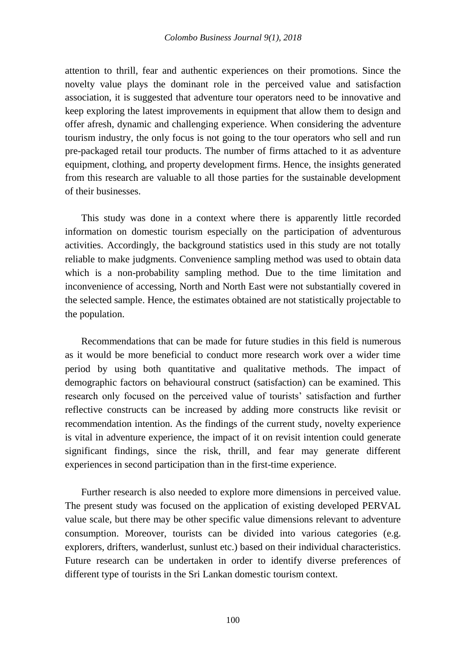attention to thrill, fear and authentic experiences on their promotions. Since the novelty value plays the dominant role in the perceived value and satisfaction association, it is suggested that adventure tour operators need to be innovative and keep exploring the latest improvements in equipment that allow them to design and offer afresh, dynamic and challenging experience. When considering the adventure tourism industry, the only focus is not going to the tour operators who sell and run pre-packaged retail tour products. The number of firms attached to it as adventure equipment, clothing, and property development firms. Hence, the insights generated from this research are valuable to all those parties for the sustainable development of their businesses.

This study was done in a context where there is apparently little recorded information on domestic tourism especially on the participation of adventurous activities. Accordingly, the background statistics used in this study are not totally reliable to make judgments. Convenience sampling method was used to obtain data which is a non-probability sampling method. Due to the time limitation and inconvenience of accessing, North and North East were not substantially covered in the selected sample. Hence, the estimates obtained are not statistically projectable to the population.

Recommendations that can be made for future studies in this field is numerous as it would be more beneficial to conduct more research work over a wider time period by using both quantitative and qualitative methods. The impact of demographic factors on behavioural construct (satisfaction) can be examined. This research only focused on the perceived value of tourists' satisfaction and further reflective constructs can be increased by adding more constructs like revisit or recommendation intention. As the findings of the current study, novelty experience is vital in adventure experience, the impact of it on revisit intention could generate significant findings, since the risk, thrill, and fear may generate different experiences in second participation than in the first-time experience.

Further research is also needed to explore more dimensions in perceived value. The present study was focused on the application of existing developed PERVAL value scale, but there may be other specific value dimensions relevant to adventure consumption. Moreover, tourists can be divided into various categories (e.g. explorers, drifters, wanderlust, sunlust etc.) based on their individual characteristics. Future research can be undertaken in order to identify diverse preferences of different type of tourists in the Sri Lankan domestic tourism context.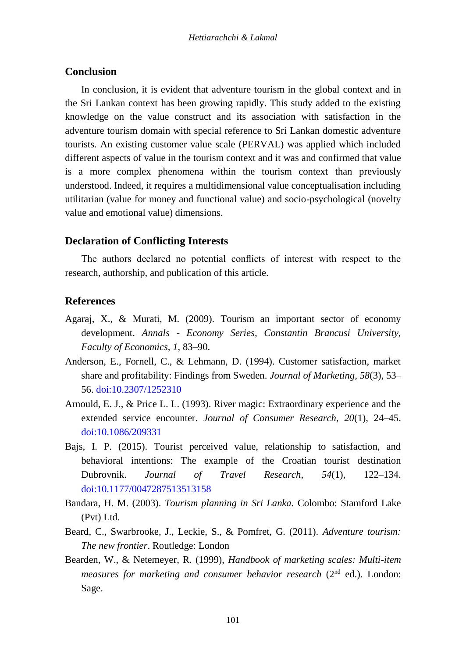## **Conclusion**

In conclusion, it is evident that adventure tourism in the global context and in the Sri Lankan context has been growing rapidly. This study added to the existing knowledge on the value construct and its association with satisfaction in the adventure tourism domain with special reference to Sri Lankan domestic adventure tourists. An existing customer value scale (PERVAL) was applied which included different aspects of value in the tourism context and it was and confirmed that value is a more complex phenomena within the tourism context than previously understood. Indeed, it requires a multidimensional value conceptualisation including utilitarian (value for money and functional value) and socio-psychological (novelty value and emotional value) dimensions.

## **Declaration of Conflicting Interests**

The authors declared no potential conflicts of interest with respect to the research, authorship, and publication of this article.

## **References**

- Agaraj, X., & Murati, M. (2009). Tourism an important sector of economy development. *Annals - Economy Series, Constantin Brancusi University, Faculty of Economics, 1*, 83–90.
- Anderson, E., Fornell, C., & Lehmann, D. (1994). Customer satisfaction, market share and profitability: Findings from Sweden. *Journal of Marketing, 58*(3), 53– 56. [doi:10.2307/1252310](https://www.jstor.org/stable/1252310?seq=1#page_scan_tab_contents)
- Arnould, E. J., & Price L. L. (1993). River magic: Extraordinary experience and the extended service encounter. *Journal of Consumer Research, 20*(1), 24–45. [doi:10.1086/209331](https://academic.oup.com/jcr/article-abstract/20/1/24/1902154)
- Bajs, I. P. (2015). Tourist perceived value, relationship to satisfaction, and behavioral intentions: The example of the Croatian tourist destination Dubrovnik. *Journal of Travel Research*, *54*(1), 122–134. [doi:10.1177/0047287513513158](http://journals.sagepub.com/doi/abs/10.1177/0047287513513158?journalCode=jtrb)
- Bandara, H. M. (2003). *Tourism planning in Sri Lanka.* Colombo: Stamford Lake (Pvt) Ltd.
- Beard, C., Swarbrooke, J., Leckie, S., & Pomfret, G. (2011). *Adventure tourism: The new frontier*. Routledge: London
- Bearden, W., & Netemeyer, R. (1999), *Handbook of marketing scales: Multi-item measures for marketing and consumer behavior research* (2<sup>nd</sup> ed.). London: Sage.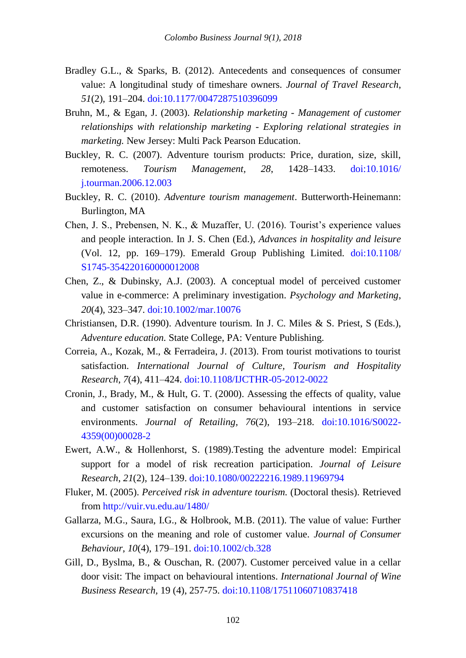- Bradley G.L., & Sparks, B. (2012). Antecedents and consequences of consumer value: A longitudinal study of timeshare owners. *Journal of Travel Research*, *51*(2), 191–204. [doi:10.1177/0047287510396099](http://journals.sagepub.com/doi/abs/10.1177/0047287510396099?journalCode=jtrb)
- Bruhn, M., & Egan, J. (2003). *Relationship marketing - Management of customer relationships with relationship marketing - Exploring relational strategies in marketing.* New Jersey: Multi Pack Pearson Education.
- Buckley, R. C. (2007). Adventure tourism products: Price, duration, size, skill, remoteness. *Tourism Management, 28*, 1428–1433. [doi:10.1016/](https://www.sciencedirect.com/science/article/pii/S0261517706002238)  [j.tourman.2006.12.003](https://www.sciencedirect.com/science/article/pii/S0261517706002238)
- Buckley, R. C. (2010). *Adventure tourism management*. Butterworth-Heinemann: Burlington, MA
- Chen, J. S., Prebensen, N. K., & Muzaffer, U. (2016). Tourist's experience values and people interaction. In J. S. Chen (Ed.), *Advances in hospitality and leisure*  (Vol. 12, pp. 169–179). Emerald Group Publishing Limited. [doi:10.1108/](https://www.emeraldinsight.com/doi/abs/10.1108/S1745-354220160000012008) [S1745-354220160000012008](https://www.emeraldinsight.com/doi/abs/10.1108/S1745-354220160000012008)
- Chen, Z., & Dubinsky, A.J. (2003). A conceptual model of perceived customer value in e-commerce: A preliminary investigation. *Psychology and Marketing*, *20*(4), 323–347. [doi:10.1002/mar.10076](https://onlinelibrary.wiley.com/doi/abs/10.1002/mar.10076)
- Christiansen, D.R. (1990). Adventure tourism. In J. C. Miles & S. Priest, S (Eds.), *Adventure education.* State College, PA: Venture Publishing.
- Correia, A., Kozak, M., & Ferradeira, J. (2013). From tourist motivations to tourist satisfaction. *International Journal of Culture, Tourism and Hospitality Research*, *7*(4), 411–424. [doi:10.1108/IJCTHR-05-2012-0022](https://doi.org/10.1108/IJCTHR-05-2012-0022)
- Cronin, J., Brady, M., & Hult, G. T. (2000). Assessing the effects of quality, value and customer satisfaction on consumer behavioural intentions in service environments. *Journal of Retailing, 76*(2), 193–218. [doi:10.1016/S0022-](https://doi.org/10.1016/S0022-4359(00)00028-2) [4359\(00\)00028-2](https://doi.org/10.1016/S0022-4359(00)00028-2)
- Ewert, A.W., & Hollenhorst, S. (1989).Testing the adventure model: Empirical support for a model of risk recreation participation. *Journal of Leisure Research*, *21*(2), 124–139. [doi:10.1080/00222216.1989.11969794](https://doi.org/10.1080/00222216.1989.11969794)
- Fluker, M. (2005). *Perceived risk in adventure tourism.* (Doctoral thesis). Retrieved from<http://vuir.vu.edu.au/1480/>
- Gallarza, M.G., Saura, I.G., & Holbrook, M.B. (2011). The value of value: Further excursions on the meaning and role of customer value. *Journal of Consumer Behaviour*, *10*(4), 179–191[. doi:10.1002/cb.328](https://doi.org/10.1002/cb.328)
- Gill, D., Byslma, B., & Ouschan, R. (2007). Customer perceived value in a cellar door visit: The impact on behavioural intentions. *International Journal of Wine Business Research,* 19 (4), 257-75. [doi:10.1108/17511060710837418](https://doi.org/10.1108/17511060710837418)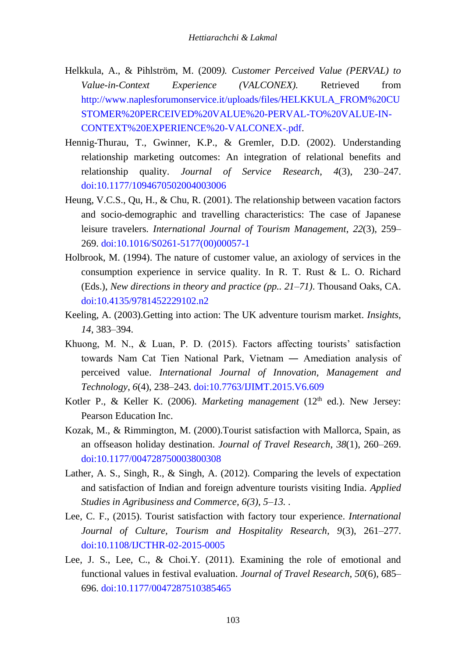- Helkkula, A., & Pihlström, M. (2009*). Customer Perceived Value (PERVAL) to Value-in-Context Experience (VALCONEX).* Retrieved from [http://www.naplesforumonservice.it/uploads/files/HELKKULA\\_FROM%20CU](http://www.naplesforumonservice.it/uploads/files/HELKKULA_FROM%20CUSTOMER%20PERCEIVED%20VALUE%20-PERVAL-TO%20VALUE-IN-CONTEXT%20EXPERIENCE%20-VALCONEX-.pdf) [STOMER%20PERCEIVED%20VALUE%20-PERVAL-TO%20VALUE-IN-](http://www.naplesforumonservice.it/uploads/files/HELKKULA_FROM%20CUSTOMER%20PERCEIVED%20VALUE%20-PERVAL-TO%20VALUE-IN-CONTEXT%20EXPERIENCE%20-VALCONEX-.pdf)[CONTEXT%20EXPERIENCE%20-VALCONEX-.pdf.](http://www.naplesforumonservice.it/uploads/files/HELKKULA_FROM%20CUSTOMER%20PERCEIVED%20VALUE%20-PERVAL-TO%20VALUE-IN-CONTEXT%20EXPERIENCE%20-VALCONEX-.pdf)
- Hennig-Thurau, T., Gwinner, K.P., & Gremler, D.D. (2002). Understanding relationship marketing outcomes: An integration of relational benefits and relationship quality. *Journal of Service Research*, *4*(3), 230–247. [doi:10.1177/1094670502004003006](https://doi.org/10.1177/1094670502004003006)
- Heung, V.C.S., Qu, H., & Chu, R. (2001). The relationship between vacation factors and socio-demographic and travelling characteristics: The case of Japanese leisure travelers. *International Journal of Tourism Management*, *22*(3), 259– 269. [doi:10.1016/S0261-5177\(00\)00057-1](https://doi.org/10.1016/S0261-5177(00)00057-1)
- Holbrook, M. (1994). The nature of customer value, an axiology of services in the consumption experience in service quality. In R. T. Rust & L. O. Richard (Eds.), *New directions in theory and practice (pp.. 21–71)*. Thousand Oaks, CA. [doi:10.4135/9781452229102.n2](http://dx.doi.org/10.4135/9781452229102.n2)
- Keeling, A. (2003).Getting into action: The UK adventure tourism market. *Insights, 14*, 383–394.
- Khuong, M. N., & Luan, P. D. (2015). Factors affecting tourists' satisfaction towards Nam Cat Tien National Park, Vietnam ― Amediation analysis of perceived value. *International Journal of Innovation, Management and Technology*, *6*(4), 238–243[. doi:10.7763/IJIMT.2015.V6.609](http://www.ijimt.org/index.php?m=content&c=index&a=show&catid=68&id=926)
- Kotler P., & Keller K. (2006). *Marketing management* (12<sup>th</sup> ed.). New Jersey: Pearson Education Inc.
- Kozak, M., & Rimmington, M. (2000).Tourist satisfaction with Mallorca, Spain, as an offseason holiday destination. *Journal of Travel Research*, *38*(1), 260–269. [doi:10.1177/004728750003800308](https://doi.org/10.1177/004728750003800308)
- Lather, A. S., Singh, R., & Singh, A. (2012). Comparing the levels of expectation and satisfaction of Indian and foreign adventure tourists visiting India. *Applied Studies in Agribusiness and Commerce, 6(3), 5–13. .*
- Lee, C. F., (2015). Tourist satisfaction with factory tour experience. *International Journal of Culture, Tourism and Hospitality Research, 9*(3), 261–277. [doi:10.1108/IJCTHR-02-2015-0005](https://doi.org/10.1108/IJCTHR-02-2015-0005)
- Lee, J. S., Lee, C., & Choi.Y. (2011). Examining the role of emotional and functional values in festival evaluation. *Journal of Travel Research*, *50*(6), 685– 696. [doi:10.1177/0047287510385465](https://doi.org/10.1177/0047287510385465)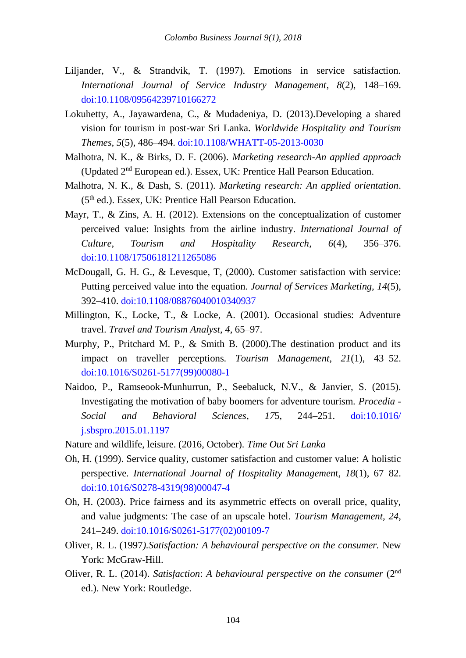- Liljander, V., & Strandvik, T. (1997). Emotions in service satisfaction. *International Journal of Service Industry Management*, *8*(2), 148–169. [doi:10.1108/09564239710166272](https://doi.org/10.1108/09564239710166272)
- Lokuhetty, A., Jayawardena, C., & Mudadeniya, D. (2013).Developing a shared vision for tourism in post-war Sri Lanka. *Worldwide Hospitality and Tourism Themes, 5*(5), 486–494. [doi:10.1108/WHATT-05-2013-0030](https://doi.org/10.1108/WHATT-05-2013-0030)
- Malhotra, N. K., & Birks, D. F. (2006). *Marketing research-An applied approach*  (Updated 2nd European ed.). Essex, UK: Prentice Hall Pearson Education.
- Malhotra, N. K., & Dash, S. (2011). *Marketing research: An applied orientation*. (5th ed.). Essex, UK: Prentice Hall Pearson Education.
- Mayr, T., & Zins, A. H. (2012). Extensions on the conceptualization of customer perceived value: Insights from the airline industry. *International Journal of Culture, Tourism and Hospitality Research*, *6*(4), 356–376. [doi:10.1108/17506181211265086](https://doi.org/10.1108/17506181211265086)
- McDougall, G. H. G., & Levesque, T, (2000). Customer satisfaction with service: Putting perceived value into the equation. *Journal of Services Marketing, 14*(5), 392–410. [doi:10.1108/08876040010340937](https://doi.org/10.1108/08876040010340937)
- Millington, K., Locke, T., & Locke, A. (2001). Occasional studies: Adventure travel. *Travel and Tourism Analyst*, *4*, 65–97.
- Murphy, P., Pritchard M. P., & Smith B. (2000).The destination product and its impact on traveller perceptions. *Tourism Management*, *21*(1), 43–52. [doi:10.1016/S0261-5177\(99\)00080-1](https://doi.org/10.1016/S0261-5177(99)00080-1)
- Naidoo, P., Ramseook-Munhurrun, P., Seebaluck, N.V., & Janvier, S. (2015). Investigating the motivation of baby boomers for adventure tourism. *Procedia - Social and Behavioral Sciences*, *17*5, 244–251. [doi:10.1016/](https://doi.org/10.1016/j.sbspro.2015.01.1197) [j.sbspro.2015.01.1197](https://doi.org/10.1016/j.sbspro.2015.01.1197)
- Nature and wildlife, leisure. (2016, October)*. Time Out Sri Lanka*
- Oh, H. (1999). Service quality, customer satisfaction and customer value: A holistic perspective*. International Journal of Hospitality Managemen*t, *18*(1), 67–82. [doi:10.1016/S0278-4319\(98\)00047-4](https://doi.org/10.1016/S0278-4319(98)00047-4)
- Oh, H. (2003). Price fairness and its asymmetric effects on overall price, quality, and value judgments: The case of an upscale hotel. *Tourism Management, 24*, 241–249. [doi:10.1016/S0261-5177\(02\)00109-7](https://doi.org/10.1016/S0261-5177(02)00109-7)
- Oliver, R. L. (1997*).Satisfaction: A behavioural perspective on the consumer.* New York: McGraw-Hill.
- Oliver, R. L. (2014). *Satisfaction*: *A behavioural perspective on the consumer* (2nd ed.). New York: Routledge.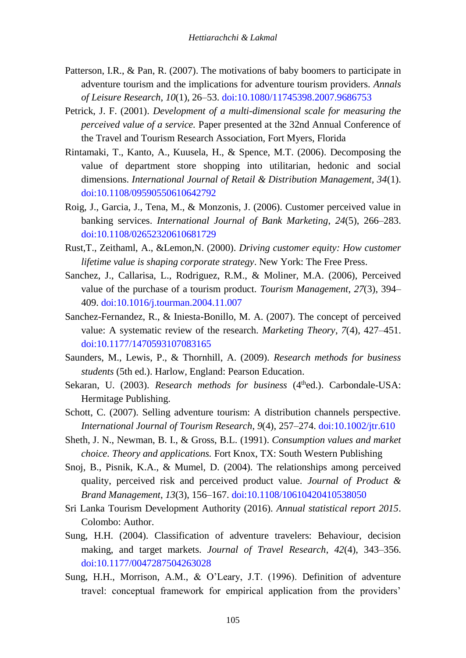- Patterson, I.R., & Pan, R. (2007). The motivations of baby boomers to participate in adventure tourism and the implications for adventure tourism providers. *Annals of Leisure Research*, *10*(1), 26–53. [doi:10.1080/11745398.2007.9686753](https://doi.org/10.1080/11745398.2007.9686753)
- Petrick, J. F. (2001). *Development of a multi-dimensional scale for measuring the perceived value of a service.* Paper presented at the 32nd Annual Conference of the Travel and Tourism Research Association, Fort Myers, Florida
- Rintamaki, T., Kanto, A., Kuusela, H., & Spence, M.T. (2006). Decomposing the value of department store shopping into utilitarian, hedonic and social dimensions. *International Journal of Retail & Distribution Management, 34*(1). [doi:10.1108/09590550610642792](https://doi.org/10.1108/09590550610642792)
- Roig, J., Garcia, J., Tena, M., & Monzonis, J. (2006). Customer perceived value in banking services. *International Journal of Bank Marketing*, *24*(5), 266–283. [doi:10.1108/02652320610681729](https://doi.org/10.1108/02652320610681729)
- Rust,T., Zeithaml, A., &Lemon,N. (2000). *Driving customer equity: How customer lifetime value is shaping corporate strategy*. New York: The Free Press.
- Sanchez, J., Callarisa, L., Rodriguez, R.M., & Moliner, M.A. (2006), Perceived value of the purchase of a tourism product. *Tourism Management*, *27*(3), 394– 409. [doi:10.1016/j.tourman.2004.11.007](https://doi.org/10.1016/j.tourman.2004.11.007)
- Sanchez-Fernandez, R., & Iniesta-Bonillo, M. A. (2007). The concept of perceived value: A systematic review of the research. *Marketing Theory*, *7*(4), 427–451. [doi:10.1177/1470593107083165](https://doi.org/10.1177/1470593107083165)
- Saunders, M., Lewis, P., & Thornhill, A. (2009). *Research methods for business students* (5th ed.). Harlow, England: Pearson Education.
- Sekaran, U. (2003). *Research methods for business* (4<sup>th</sup>ed.). Carbondale-USA: Hermitage Publishing.
- Schott, C. (2007). Selling adventure tourism: A distribution channels perspective. *International Journal of Tourism Research*, *9*(4), 257–274. [doi:10.1002/jtr.610](https://doi.org/10.1002/jtr.610)
- Sheth, J. N., Newman, B. I., & Gross, B.L. (1991). *Consumption values and market choice. Theory and applications.* Fort Knox, TX: South Western Publishing
- Snoj, B., Pisnik, K.A., & Mumel, D. (2004). The relationships among perceived quality, perceived risk and perceived product value. *Journal of Product & Brand Management*, *13*(3), 156–167. [doi:10.1108/10610420410538050](https://doi.org/10.1108/10610420410538050)
- Sri Lanka Tourism Development Authority (2016). *Annual statistical report 2015*. Colombo: Author.
- Sung, H.H. (2004). Classification of adventure travelers: Behaviour, decision making, and target markets. *Journal of Travel Research*, *42*(4), 343–356. [doi:10.1177/0047287504263028](https://doi.org/10.1177/0047287504263028)
- Sung, H.H., Morrison, A.M., & O'Leary, J.T. (1996). Definition of adventure travel: conceptual framework for empirical application from the providers'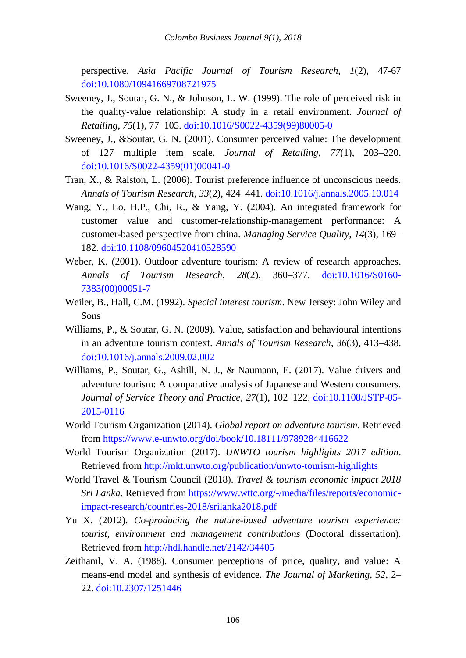perspective. *Asia Pacific Journal of Tourism Research*, *1*(2), 47-67 [doi:10.1080/10941669708721975](https://doi.org/10.1080/10941669708721975)

- Sweeney, J., Soutar, G. N., & Johnson, L. W. (1999). The role of perceived risk in the quality-value relationship: A study in a retail environment. *Journal of Retailing*, *75*(1), 77–105[. doi:10.1016/S0022-4359\(99\)80005-0](https://doi.org/10.1016/S0022-4359(99)80005-0)
- Sweeney, J., &Soutar, G. N. (2001). Consumer perceived value: The development of 127 multiple item scale. *Journal of Retailing*, *77*(1), 203–220. [doi:10.1016/S0022-4359\(01\)00041-0](https://doi.org/10.1016/S0022-4359(01)00041-0)
- Tran, X., & Ralston, L. (2006). Tourist preference influence of unconscious needs. *Annals of Tourism Research*, *33*(2), 424–441. [doi:10.1016/j.annals.2005.10.014](https://doi.org/10.1016/j.annals.2005.10.014)
- Wang, Y., Lo, H.P., Chi, R., & Yang, Y. (2004). An integrated framework for customer value and customer-relationship-management performance: A customer-based perspective from china. *Managing Service Quality*, *14*(3), 169– 182. [doi:10.1108/09604520410528590](https://doi.org/10.1108/09604520410528590)
- Weber, K. (2001). Outdoor adventure tourism: A review of research approaches. *Annals of Tourism Research*, *28*(2), 360–377. [doi:10.1016/S0160-](https://doi.org/10.1016/S0160-7383(00)00051-7) [7383\(00\)00051-7](https://doi.org/10.1016/S0160-7383(00)00051-7)
- Weiler, B., Hall, C.M. (1992). *Special interest tourism*. New Jersey: John Wiley and Sons
- Williams, P., & Soutar, G. N. (2009). Value, satisfaction and behavioural intentions in an adventure tourism context. *Annals of Tourism Research*, *36*(3), 413–438. [doi:10.1016/j.annals.2009.02.002](https://doi.org/10.1016/j.annals.2009.02.002)
- Williams, P., Soutar, G., Ashill, N. J., & Naumann, E. (2017). Value drivers and adventure tourism: A comparative analysis of Japanese and Western consumers. *Journal of Service Theory and Practice*, *27*(1), 102–122. [doi:10.1108/JSTP-05-](https://doi.org/10.1108/JSTP-05-2015-0116) [2015-0116](https://doi.org/10.1108/JSTP-05-2015-0116)
- World Tourism Organization (2014). *Global report on adventure tourism*. Retrieved from<https://www.e-unwto.org/doi/book/10.18111/9789284416622>
- World Tourism Organization (2017). *UNWTO tourism highlights 2017 edition*. Retrieved fro[m http://mkt.unwto.org/publication/unwto-tourism-highlights](http://mkt.unwto.org/publication/unwto-tourism-highlights)
- World Travel & Tourism Council (2018). *Travel & tourism economic impact 2018 Sri Lanka*. Retrieved from [https://www.wttc.org/-/media/files/reports/economic](https://www.wttc.org/-/media/files/reports/economic-impact-research/countries-2018/srilanka2018.pdf)[impact-research/countries-2018/srilanka2018.pdf](https://www.wttc.org/-/media/files/reports/economic-impact-research/countries-2018/srilanka2018.pdf)
- Yu X. (2012). *Co-producing the nature-based adventure tourism experience: tourist, environment and management contributions* (Doctoral dissertation). Retrieved fro[m http://hdl.handle.net/2142/34405](http://hdl.handle.net/2142/34405)
- Zeithaml, V. A. (1988). Consumer perceptions of price, quality, and value: A means-end model and synthesis of evidence. *The Journal of Marketing, 52*, 2– 22. [doi:10.2307/1251446](https://www.jstor.org/stable/1251446?seq=1#page_scan_tab_contents)